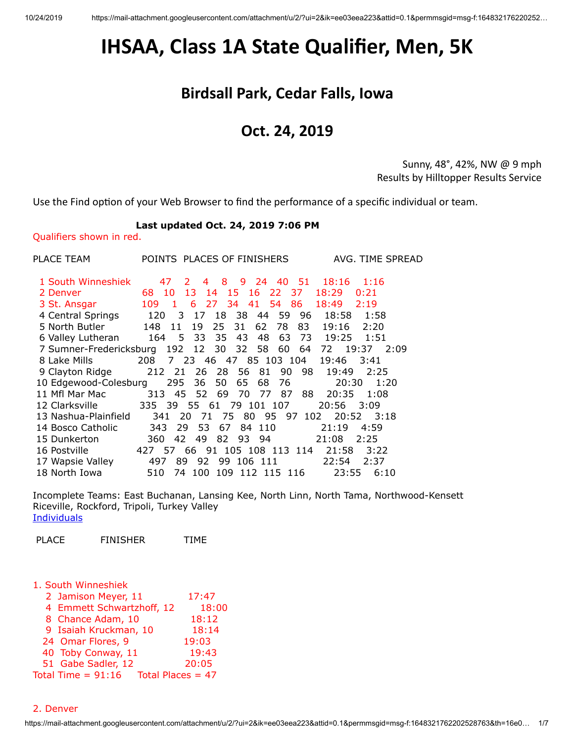# <span id="page-0-0"></span>**IHSAA, Class 1A State Qualifier, Men, 5K**

# **Birdsall Park, Cedar Falls, Iowa**

# **Oct. 24, 2019**

Sunny, 48°, 42%, NW @ 9 mph Results by Hilltopper Results Service

Use the Find option of your Web Browser to find the performance of a specific individual or team.

### **Last updated Oct. 24, 2019 7:06 PM**

Qualifiers shown in red.

| PLACE TEAM                                             |           |                 | POINTS PLACES OF FINISHERS      |               | AVG. TIME SPREAD |
|--------------------------------------------------------|-----------|-----------------|---------------------------------|---------------|------------------|
| 1 South Winneshiek                                     | 47        | 8<br>2<br>4     | 9<br>24 40 51                   | 18:16         | 1:16             |
| 2 Denver                                               | 68<br>10  | 13 14           | - 15<br>16 22 37                | 18:29         | 0:21             |
| 3 St. Ansgar                                           | 109 1     |                 | 6 27 34 41 54 86                | 18:49         | 2:19             |
| 4 Central Springs                                      | 120       | 18<br>3 17      | 59<br>- 38<br>- 44              | 96<br>18:58   | 1:58             |
| 5 North Butler                                         | 148 11    | 25<br>19        | 62<br>31<br>78                  | 83<br>19:16   | 2:20             |
| 6 Valley Lutheran                                      | 164 5 33  | - 35            | 43<br>48<br>63                  | 73 19:25 1:51 |                  |
| 7 Sumner-Fredericksburg 192 12 30 32 58 60 64 72 19:37 |           |                 |                                 |               | 2:09             |
| 8 Lake Mills                                           |           |                 | 208 7 23 46 47 85 103 104 19:46 |               | 3:41             |
| 9 Clayton Ridge                                        | 212 21    |                 | 26 28 56 81<br>90               | 98.<br>19:49  | 2:25             |
| 10 Edgewood-Colesburg                                  |           | 295 36 50       | 65<br>68<br>76                  | 20:30         | 1:20             |
| 11 Mfl Mar Mac                                         |           |                 | 313 45 52 69 70 77 87           | 20:35<br>88   | 1:08             |
| 12 Clarksville                                         |           |                 | 335 39 55 61 79 101 107         | 20:56         | 3:09             |
| 13 Nashua-Plainfield                                   | 341       | 20<br>- 71      | 75 80 95 97 102                 | 20:52         | 3:18             |
| 14 Bosco Catholic                                      | 343       | 53.<br>67<br>29 | 84 110                          | 21:19         | 4:59             |
| 15 Dunkerton                                           | 42<br>360 | 49              | 82 93 94                        | 21:08         | 2:25             |
| 16 Postville                                           | 427 57    |                 | 66 91 105 108 113 114           | 21:58         | 3:22             |
| 17 Wapsie Valley                                       | 497       | 92<br>89 -      | 99 106 111                      | 22:54         | 2:37             |
| 18 North Iowa                                          | 510<br>74 | 100             | 109 112 115 116                 | 23:55         | 6:10             |

Incomplete Teams: East Buchanan, Lansing Kee, North Linn, North Tama, Northwood-Kensett Riceville, Rockford, Tripoli, Turkey Valley **[Individuals](#page-3-0)** 

PLACE FINISHER TIME

|  | 1. South Winneshiek |  |
|--|---------------------|--|
|--|---------------------|--|

- 2 Jamison Meyer, 11 17:47
- 4 Emmett Schwartzhoff, 12 18:00
- 8 Chance Adam, 10 18:12
- 9 Isaiah Kruckman, 10 18:14
- 24 Omar Flores, 9 19:03
- 40 Toby Conway, 11 19:43

51 Gabe Sadler, 12 20:05

Total Time =  $91:16$  Total Places = 47

2. Denver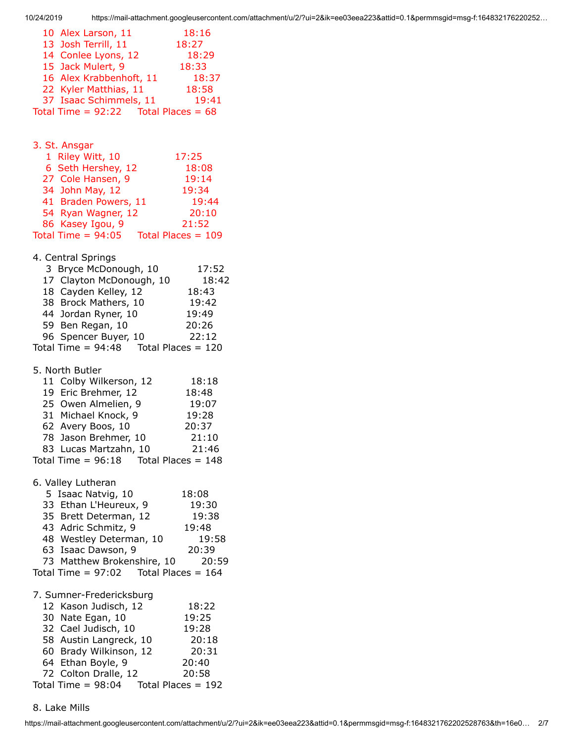| 10 Alex Larson, 11                       | 18:16 |
|------------------------------------------|-------|
| 13 Josh Terrill, 11                      | 18:27 |
| 14 Conlee Lyons, 12                      | 18:29 |
| 15 Jack Mulert, 9                        | 18:33 |
| 16 Alex Krabbenhoft, 11                  | 18:37 |
| 22 Kyler Matthias, 11                    | 18:58 |
| 37 Isaac Schimmels, 11                   | 19:41 |
| Total Time = $92:22$ Total Places = $68$ |       |

3. St. Ansgar

| 1 Riley Witt, 10     | 17:25                |
|----------------------|----------------------|
| 6 Seth Hershey, 12   | 18:08                |
| 27 Cole Hansen, 9    | 19:14                |
| 34 John May, 12      | 19:34                |
| 41 Braden Powers, 11 | 19:44                |
| 54 Ryan Wagner, 12   | 20:10                |
| 86 Kasey Igou, 9     | 21:52                |
| Total Time = $94:05$ | Total Places = $109$ |

## 4. Central Springs

| 3 Bryce McDonough, 10    |                      | 17:52 |
|--------------------------|----------------------|-------|
| 17 Clayton McDonough, 10 |                      | 18:42 |
| 18 Cayden Kelley, 12     |                      | 18:43 |
| 38 Brock Mathers, 10     |                      | 19:42 |
| 44 Jordan Ryner, 10      |                      | 19:49 |
| 59 Ben Regan, 10         |                      | 20:26 |
| 96 Spencer Buyer, 10     |                      | 22:12 |
| Total Time = $94:48$     | Total Places = $120$ |       |

#### 5. North Butler

| 11 Colby Wilkerson, 12                    | 18:18 |
|-------------------------------------------|-------|
| 19 Eric Brehmer, 12                       | 18:48 |
| 25 Owen Almelien, 9                       | 19:07 |
| 31 Michael Knock, 9                       | 19:28 |
| 62 Avery Boos, 10                         | 20:37 |
| 78 Jason Brehmer, 10                      | 21:10 |
| 83 Lucas Martzahn, 10                     | 21:46 |
| Total Time = $96:18$ Total Places = $148$ |       |

## 6. Valley Lutheran

| 5 Isaac Natvig, 10                        | 18:08 |
|-------------------------------------------|-------|
| 33 Ethan L'Heureux, 9                     | 19:30 |
| 35 Brett Determan, 12                     | 19:38 |
| 43 Adric Schmitz, 9                       | 19:48 |
| 48 Westley Determan, 10                   | 19:58 |
| 63 Isaac Dawson, 9                        | 20:39 |
| 73 Matthew Brokenshire, 10                | 20:59 |
| Total Time = $97:02$ Total Places = $164$ |       |
| 7. Sumner-Fredericksburg                  |       |
| 12 Kason Judisch, 12                      | 18:22 |

| IZ NASUII JUUISCII, IZ | 10.ZZ                |
|------------------------|----------------------|
| 30 Nate Egan, 10       | 19:25                |
| 32 Cael Judisch, 10    | 19:28                |
| 58 Austin Langreck, 10 | 20:18                |
| 60 Brady Wilkinson, 12 | 20:31                |
| 64 Ethan Boyle, 9      | 20:40                |
| 72 Colton Dralle, 12   | 20:58                |
| Total Time = $98:04$   | Total Places = $192$ |

#### 8. Lake Mills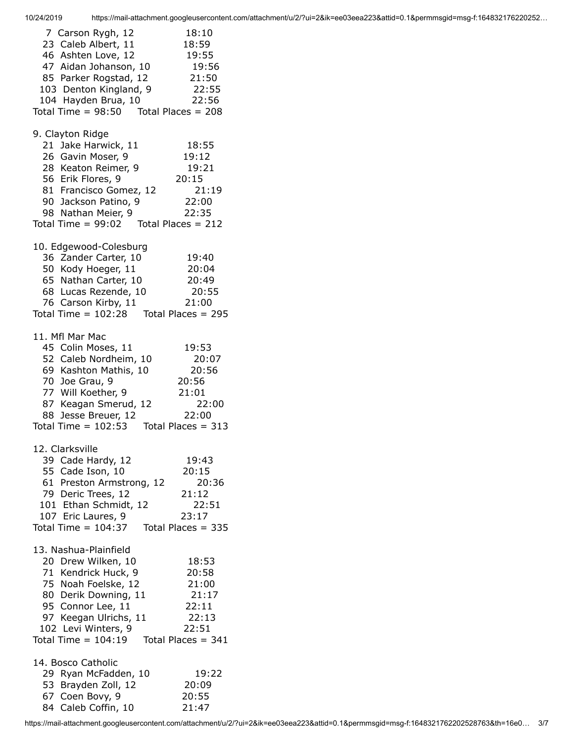| 7 Carson Rygh, 12<br>23 Caleb Albert, 11<br>46 Ashten Love, 12<br>47 Aidan Johanson, 10 19:56<br>85 Parker Rogstad, 12<br>103 Denton Kingland, 9<br>104 Hayden Brua, 10<br>Total Time = $98:50$ Total Places = $208$                    | 18:10<br>18:59<br>19:55<br>21:50<br>22:55<br>22:56          |
|-----------------------------------------------------------------------------------------------------------------------------------------------------------------------------------------------------------------------------------------|-------------------------------------------------------------|
| 9. Clayton Ridge<br>21 Jake Harwick, 11<br>26 Gavin Moser, 9<br>28 Keaton Reimer, 9<br>56 Erik Flores, 9<br>81 Francisco Gomez, 12<br>90 Jackson Patino, 9<br>98 Nathan Meier, 9<br>Total Time = $99:02$ Total Places = 212             | 18:55<br>19:12<br>19:21<br>20:15<br>21:19<br>22:00<br>22:35 |
| 10. Edgewood-Colesburg<br>36 Zander Carter, 10<br>50 Kody Hoeger, 11<br>65 Nathan Carter, 10<br>65 Natrian Carcor, 20<br>68 Lucas Rezende, 10<br>المنطقة الانتظار 11<br>76 Carson Kirby, 11<br>Total Time = $102:28$ Total Places = 295 | 19:40<br>20:04<br>20:49<br>20:55<br>21:00                   |
| 11. Mfl Mar Mac<br>45 Colin Moses, 11<br>52 Caleb Nordheim, 10<br>69 Kashton Mathis, 10<br>70 Joe Grau, 9<br>77 Will Koether, 9<br>87 Keagan Smerud, 12<br>88 Jesse Breuer, 12<br>Total Time = $102:53$ Total Places = 313              | 19:53<br>20:07<br>20:56<br>20:56<br>21:01<br>22:00<br>22:00 |
| 12. Clarksville<br>39 Cade Hardy, 12<br>55 Cade Ison, 10<br>61 Preston Armstrong, 12<br>79 Deric Trees, 12<br>101 Ethan Schmidt, 12<br>107 Eric Laures, 9<br>Total Time = $104:37$ Total Places = 335                                   | 19:43<br>20:15<br>20:36<br>21:12<br>22:51<br>23:17          |
| 13. Nashua-Plainfield<br>20 Drew Wilken, 10<br>71 Kendrick Huck, 9<br>75 Noah Foelske, 12<br>80 Derik Downing, 11<br>95 Connor Lee, 11<br>97 Keegan Ulrichs, 11<br>102 Levi Winters, 9<br>Total Time = $104:19$ Total Places = 341      | 18:53<br>20:58<br>21:00<br>21:17<br>22:11<br>22:13<br>22:51 |
| 14. Bosco Catholic<br>29 Ryan McFadden, 10<br>53 Brayden Zoll, 12<br>67 Coen Bovy, 9<br>84 Caleb Coffin, 10                                                                                                                             | 19:22<br>20:09<br>20:55<br>21:47                            |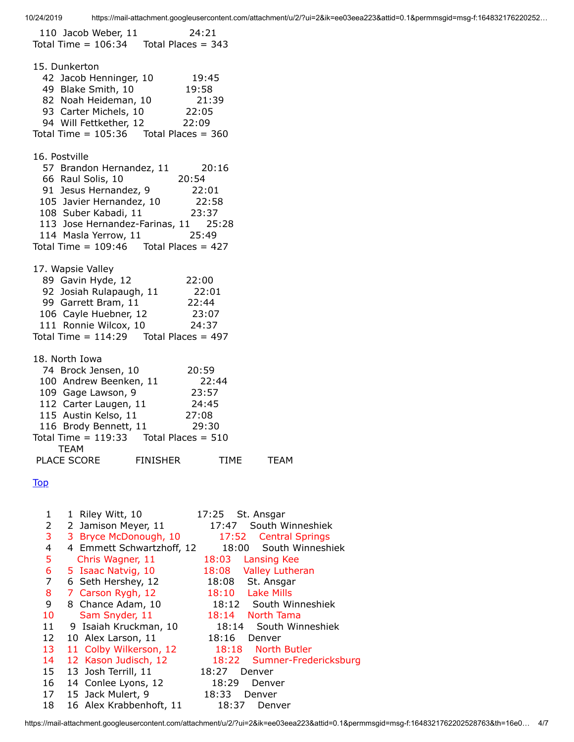<span id="page-3-0"></span> 110 Jacob Weber, 11 24:21 Total Time  $= 106:34$  Total Places  $= 343$ 15. Dunkerton 42 Jacob Henninger, 10 19:45 49 Blake Smith, 10 19:58 82 Noah Heideman, 10 21:39 93 Carter Michels, 10 22:05 94 Will Fettkether, 12 22:09 Total Time =  $105:36$  Total Places =  $360$ 16. Postville 57 Brandon Hernandez, 11 20:16 66 Raul Solis, 10 20:54 91 Jesus Hernandez, 9 22:01 105 Javier Hernandez, 10 22:58 108 Suber Kabadi, 11 23:37 113 Jose Hernandez-Farinas, 11 25:28 114 Masla Yerrow, 11 25:49 Total Time  $= 109:46$  Total Places  $= 427$ 17. Wapsie Valley 89 Gavin Hyde, 12 22:00 92 Josiah Rulapaugh, 11 22:01 99 Garrett Bram, 11 22:44 106 Cayle Huebner, 12 23:07 111 Ronnie Wilcox, 10 24:37 Total Time  $= 114:29$  Total Places  $= 497$ 18. North Iowa 74 Brock Jensen, 10 20:59 100 Andrew Beenken, 11 22:44 109 Gage Lawson, 9 23:57 112 Carter Laugen, 11 24:45 115 Austin Kelso, 11 27:08 116 Brody Bennett, 11 29:30 Total Time  $= 119:33$  Total Places  $= 510$  TEAM PLACE SCORE FINISHER TIME TEAM **[Top](#page-0-0)**  1 1 Riley Witt, 10 17:25 St. Ansgar 2 2 Jamison Meyer, 11 17:47 South Winneshiek 3 3 Bryce McDonough, 10 17:52 Central Springs 4 4 Emmett Schwartzhoff, 12 18:00 South Winneshiek 5 Chris Wagner, 11 18:03 Lansing Kee 6 5 Isaac Natvig, 10 18:08 Valley Lutheran 7 6 Seth Hershey, 12 18:08 St. Ansgar 8 7 Carson Rygh, 12 18:10 Lake Mills 9 8 Chance Adam, 10 18:12 South Winneshiek 10 Sam Snyder, 11 18:14 North Tama 11 9 Isaiah Kruckman, 10 18:14 South Winneshiek 12 10 Alex Larson, 11 18:16 Denver 13 11 Colby Wilkerson, 12 18:18 North Butler 14 12 Kason Judisch, 12 18:22 Sumner-Fredericksburg 15 13 Josh Terrill, 11 18:27 Denver 16 14 Conlee Lyons, 12 18:29 Denver 17 15 Jack Mulert, 9 18:33 Denver 18 16 Alex Krabbenhoft, 11 18:37 Denver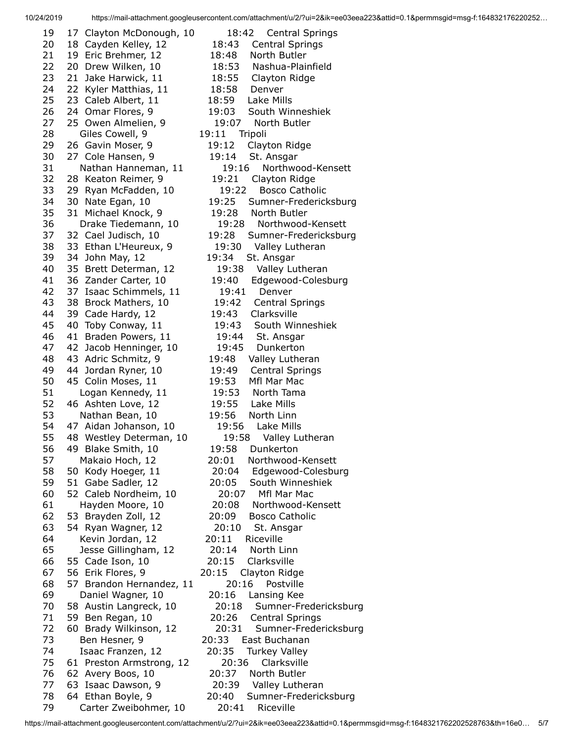10/24/2019 https://mail-attachment.googleusercontent.com/attachment/u/2/?ui=2&ik=ee03eea223&attid=0.1&permmsgid=msg-f:164832176220252…

 20 18 Cayden Kelley, 12 18:43 Central Springs 21 19 Eric Brehmer, 12 18:48 North Butler 22 20 Drew Wilken, 10 18:53 Nashua-Plainfield 23 21 Jake Harwick, 11 18:55 Clayton Ridge 24 22 Kyler Matthias, 11 18:58 Denver 25 23 Caleb Albert, 11 18:59 Lake Mills 26 24 Omar Flores, 9 19:03 South Winneshiek 27 25 Owen Almelien, 9 19:07 North Butler 28 Giles Cowell, 9 19:11 Tripoli 29 26 Gavin Moser, 9 19:12 Clayton Ridge 30 27 Cole Hansen, 9 19:14 St. Ansgar 31 Nathan Hanneman, 11 19:16 Northwood-Kensett 32 28 Keaton Reimer, 9 19:21 Clayton Ridge 33 29 Ryan McFadden, 10 19:22 Bosco Catholic 34 30 Nate Egan, 10 19:25 Sumner-Fredericksburg 35 31 Michael Knock, 9 19:28 North Butler 36 Drake Tiedemann, 10 19:28 Northwood-Kensett 37 32 Cael Judisch, 10 19:28 Sumner-Fredericksburg 38 33 Ethan L'Heureux, 9 19:30 Valley Lutheran 39 34 John May, 12 19:34 St. Ansgar 40 35 Brett Determan, 12 19:38 Valley Lutheran 41 36 Zander Carter, 10 19:40 Edgewood-Colesburg 42 37 Isaac Schimmels, 11 19:41 Denver 43 38 Brock Mathers, 10 19:42 Central Springs 44 39 Cade Hardy, 12 19:43 Clarksville 45 40 Toby Conway, 11 19:43 South Winneshiek 46 41 Braden Powers, 11 19:44 St. Ansgar 47 42 Jacob Henninger, 10 19:45 Dunkerton 48 43 Adric Schmitz, 9 19:48 Valley Lutheran 49 44 Jordan Ryner, 10 19:49 Central Springs 50 45 Colin Moses, 11 19:53 Mfl Mar Mac 51 Logan Kennedy, 11 19:53 North Tama 52 46 Ashten Love, 12 19:55 Lake Mills 53 Nathan Bean, 10 19:56 North Linn 54 47 Aidan Johanson, 10 19:56 Lake Mills 55 48 Westley Determan, 10 19:58 Valley Lutheran 56 49 Blake Smith, 10 19:58 Dunkerton 57 Makaio Hoch, 12 20:01 Northwood-Kensett 58 50 Kody Hoeger, 11 20:04 Edgewood-Colesburg 59 51 Gabe Sadler, 12 20:05 South Winneshiek 60 52 Caleb Nordheim, 10 20:07 Mfl Mar Mac 61 Hayden Moore, 10 20:08 Northwood-Kensett 62 53 Brayden Zoll, 12 20:09 Bosco Catholic 63 54 Ryan Wagner, 12 20:10 St. Ansgar 64 Kevin Jordan, 12 20:11 Riceville 65 Jesse Gillingham, 12 20:14 North Linn 66 55 Cade Ison, 10 20:15 Clarksville 67 56 Erik Flores, 9 20:15 Clayton Ridge 68 57 Brandon Hernandez, 11 20:16 Postville 69 Daniel Wagner, 10 20:16 Lansing Kee 70 58 Austin Langreck, 10 20:18 Sumner-Fredericksburg 71 59 Ben Regan, 10 20:26 Central Springs 72 60 Brady Wilkinson, 12 20:31 Sumner-Fredericksburg 73 Ben Hesner, 9 20:33 East Buchanan 74 Isaac Franzen, 12 20:35 Turkey Valley 75 61 Preston Armstrong, 12 20:36 Clarksville 76 62 Avery Boos, 10 20:37 North Butler 77 63 Isaac Dawson, 9 20:39 Valley Lutheran 79 Carter Zweibohmer, 10 20:41 Riceville

19 17 Clayton McDonough, 10 18:42 Central Springs

78 64 Ethan Boyle, 9 20:40 Sumner-Fredericksburg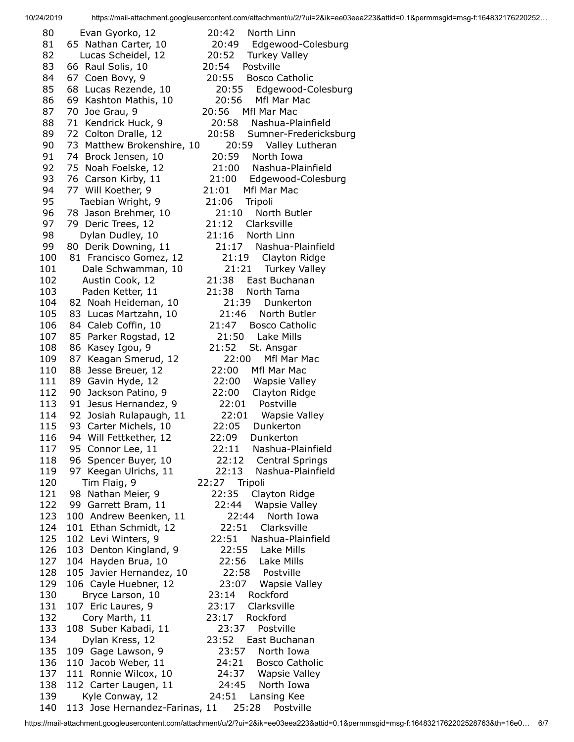10/24/2019 https://mail-attachment.googleusercontent.com/attachment/u/2/?ui=2&ik=ee03eea223&attid=0.1&permmsgid=msg-f:164832176220252…

 80 Evan Gyorko, 12 20:42 North Linn 81 65 Nathan Carter, 10 20:49 Edgewood-Colesburg 82 Lucas Scheidel, 12 20:52 Turkey Valley 83 66 Raul Solis, 10 20:54 Postville 84 67 Coen Bovy, 9 20:55 Bosco Catholic 85 68 Lucas Rezende, 10 20:55 Edgewood-Colesburg 86 69 Kashton Mathis, 10 20:56 Mfl Mar Mac 87 70 Joe Grau, 9 20:56 Mfl Mar Mac 88 71 Kendrick Huck, 9 20:58 Nashua-Plainfield 89 72 Colton Dralle, 12 20:58 Sumner-Fredericksburg 90 73 Matthew Brokenshire, 10 20:59 Valley Lutheran 91 74 Brock Jensen, 10 20:59 North Iowa 92 75 Noah Foelske, 12 21:00 Nashua-Plainfield 93 76 Carson Kirby, 11 21:00 Edgewood-Colesburg 94 77 Will Koether, 9 21:01 Mfl Mar Mac 95 Taebian Wright, 9 21:06 Tripoli 96 78 Jason Brehmer, 10 21:10 North Butler 97 79 Deric Trees, 12 21:12 Clarksville 98 Dylan Dudley, 10 21:16 North Linn 99 80 Derik Downing, 11 21:17 Nashua-Plainfield 100 81 Francisco Gomez, 12 21:19 Clayton Ridge 101 Dale Schwamman, 10 21:21 Turkey Valley 102 Austin Cook, 12 21:38 East Buchanan 103 Paden Ketter, 11 21:38 North Tama 104 82 Noah Heideman, 10 21:39 Dunkerton 105 83 Lucas Martzahn, 10 21:46 North Butler 106 84 Caleb Coffin, 10 21:47 Bosco Catholic 107 85 Parker Rogstad, 12 21:50 Lake Mills 108 86 Kasey Igou, 9 21:52 St. Ansgar 109 87 Keagan Smerud, 12 22:00 Mfl Mar Mac 110 88 Jesse Breuer, 12 22:00 Mfl Mar Mac 111 89 Gavin Hyde, 12 22:00 Wapsie Valley 112 90 Jackson Patino, 9 22:00 Clayton Ridge 113 91 Jesus Hernandez, 9 22:01 Postville 114 92 Josiah Rulapaugh, 11 22:01 Wapsie Valley 115 93 Carter Michels, 10 22:05 Dunkerton 116 94 Will Fettkether, 12 22:09 Dunkerton 117 95 Connor Lee, 11 22:11 Nashua-Plainfield 118 96 Spencer Buyer, 10 22:12 Central Springs 119 97 Keegan Ulrichs, 11 22:13 Nashua-Plainfield 120 Tim Flaig, 9 22:27 Tripoli 121 98 Nathan Meier, 9 22:35 Clayton Ridge 122 99 Garrett Bram, 11 22:44 Wapsie Valley 123 100 Andrew Beenken, 11 22:44 North Iowa 124 101 Ethan Schmidt, 12 22:51 Clarksville 125 102 Levi Winters, 9 22:51 Nashua-Plainfield 126 103 Denton Kingland, 9 22:55 Lake Mills 127 104 Hayden Brua, 10 22:56 Lake Mills 128 105 Javier Hernandez, 10 22:58 Postville 129 106 Cayle Huebner, 12 23:07 Wapsie Valley 130 Bryce Larson, 10 23:14 Rockford 131 107 Eric Laures, 9 23:17 Clarksville 132 Cory Marth, 11 23:17 Rockford 133 108 Suber Kabadi, 11 23:37 Postville 134 Dylan Kress, 12 23:52 East Buchanan 135 109 Gage Lawson, 9 23:57 North Iowa 136 110 Jacob Weber, 11 24:21 Bosco Catholic 137 111 Ronnie Wilcox, 10 24:37 Wapsie Valley 138 112 Carter Laugen, 11 24:45 North Iowa 139 Kyle Conway, 12 24:51 Lansing Kee 140 113 Jose Hernandez-Farinas, 11 25:28 Postville